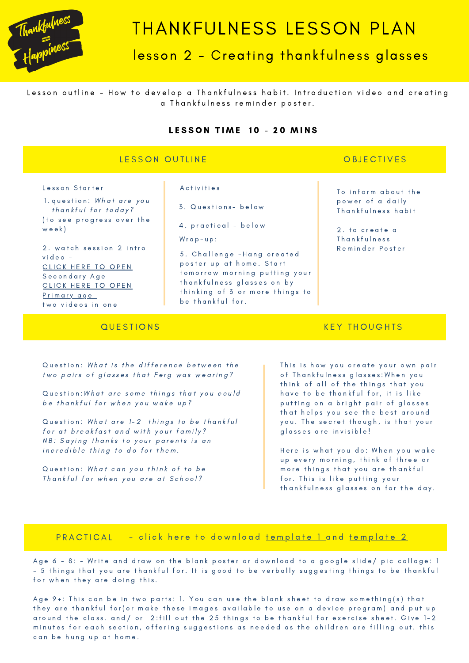

# THANKFULNESS LESSON PLAN

# lesson 2 - Creating thankfulness glasses

Lesson outline - How to develop a Thankfulness habit. Introduction video and creating a Thankfulness reminder poster.

#### LESSON TIME 10 - 20 MINS

### LESSON OUTLINE

### **OBJECTIVES**

Lesson Starter **Executed Executes** Activities

l.question: *What are you* thankful for today? ( to see progress over the w e e k )

2. watch session 2 intro v i d e o - CLICK HERE T[O](https://www.youtube.com/watch?v=R9f7jZeH8Og) OPEN Secondary Age CLICK HERE T[O](https://youtu.be/sEicWc-tDgo) OPEN Pri[m](https://youtu.be/sEicWc-tDgo)ary age two videos in one

3 . Q u e s t i o n s - b e l o w

4. practical - below

 $W$  r a  $p - u p$  :

5. Challenge - Hang created poster up at home. Start to m or row morning putting your th ank fulness glasses on by thinking of 3 or more things to be thankful for.

To inform about the power of a daily Thankfulness habit

2. to create a Thankfulness R e m i n d e r P o s t e r

# **QUESTIONS**

#### Question: What is the difference between the two pairs of glasses that Ferg was wearing?

Question: What are some things that you could be thankful for when you wake up?

Question: What are 1-2 things to be thankful for at breakfast and with your family? -NB: Saying thanks to your parents is an incredible thing to do for them.

Question: What can you think of to be Thankful for when you are at School?

### **KEY THOUGHTS**

This is how you create your own pair of Thankfulness glasses: When you think of all of the things that you have to be thankful for, it is like putting on a bright pair of glasses that helps you see the best around you. The secret though, is that your glasses are invisible!

Here is what you do: When you wake up every morning, think of three or more things that you are thankful for. This is like putting your th ank fulness glasses on for the day.

#### PRACTICAL **P** - click here to download te[m](https://www.begreat.co.nz/school-curriculum?pgid=k5wsa309-966d1cc1-4132-11ea-8c85-12879e2400f0)plate 1 and template 2

Age 6 - 8: - Write and draw on the blank poster or download to a google slide/ pic collage: 1 - 5 things that you are thankful for. It is good to be verbally suggesting things to be thankful for when they are doing this.

Age 9+: This can be in two parts: 1. You can use the blank sheet to draw something(s) that they are thankful for (or make these images available to use on a device program) and put up around the class. and/ or 2:fill out the 25 things to be thankful for exercise sheet. Give 1-2 minutes for each section, offering suggestions as needed as the children are filling out. this can be hung up at home.